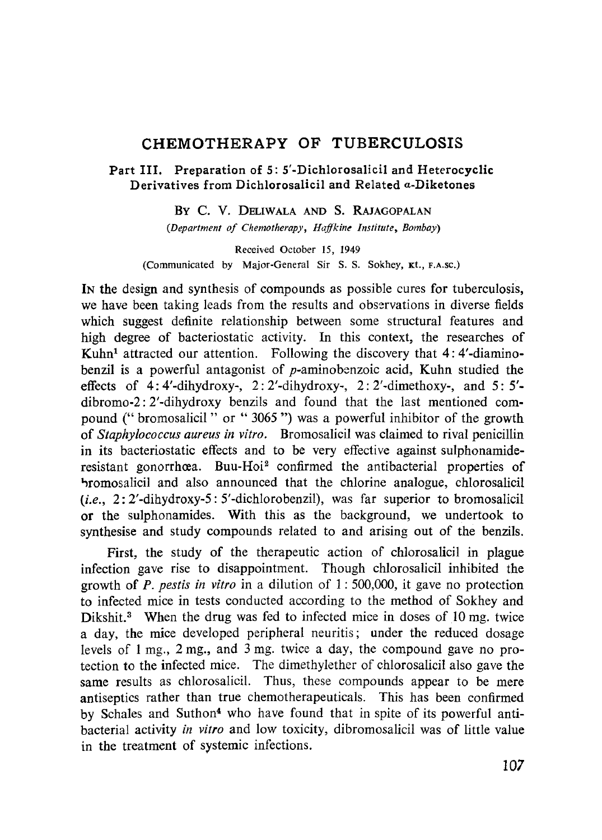# **CHEMOTHERAPY OF TUBERCULOSIS**

# **Part III. Preparation of 5: 5'-Dichlorosalicil and Heterocyclic Derivatives from Dichlorosalicil and Related a-Diketones**

**BY C.** V. DELIWALA AND S. RAJAGOPALAN

*(Department of Chemotherapy, Haffkine Institute, Bombay)*

Received October 15, 1949 (Communicated by Major-General Sir S. S. Sokhey, Kt., F.A.sc.)

IN the design and synthesis of compounds as possible cures for tuberculosis, we have been taking leads from the results and observations in diverse fields which suggest definite relationship between some structural features and high degree of bacteriostatic activity. In this context, the researches of Kuhn' attracted our attention. Following the discovery that 4: 4'-diaminobenzil is a powerful antagonist of p-aminobenzoic acid, Kuhn studied the effects of  $4:4'-dihydroxy-$ ,  $2:2'-dihydroxy-$ ,  $2:2'-dimethoxy-$ , and  $5:5'$ dibromo-2: 2'-dihydroxy benzils and found that the last mentioned compound (" bromosalicil " or " 3065 ") was a powerful inhibitor of the growth of *Staphylococcus aureus in vitro.* Bromosalicil was claimed to rival penicillin in its bacteriostatic effects and to be very effective against sulphonamideresistant gonorrhoea. Buu-Hoi<sup>2</sup> confirmed the antibacterial properties of ',romosalicil and also announced that the chlorine analogue, chiorosalicil *(i.e.,* 2: 2'-dihydroxy-5: 5'-dichlorobenzil), was far superior to bromosalicil or the sulphonamides. With this as the background, we undertook to synthesise and study compounds related to and arising out of the benzils.

First, the study of the therapeutic action of chlorosalicil in plague infection gave rise to disappointment. Though chlorosalicil inhibited the growth of *P. pestis in vitro* in a dilution of 1: 500,000, it gave no protection to infected mice in tests conducted according to the method of Sokhey and Dikshit.<sup>3</sup> When the drug was fed to infected mice in doses of 10 mg, twice a day, the mice developed peripheral neuritis; under the reduced dosage levels of 1 mg., 2 mg., and 3 mg. twice a day, the compound gave no protection to the infected mice. The dimethylether of chlorosalicil also gave the same results as chlorosalicil. Thus, these compounds appear to be mere antiseptics rather than true chemotherapeuticals. This has been confirmed by Schales and Suthon4 who have found that in spite of its powerful antibacterial activity *in vitro* and low toxicity, dibromosalicil was of little value in the treatment of systemic infections.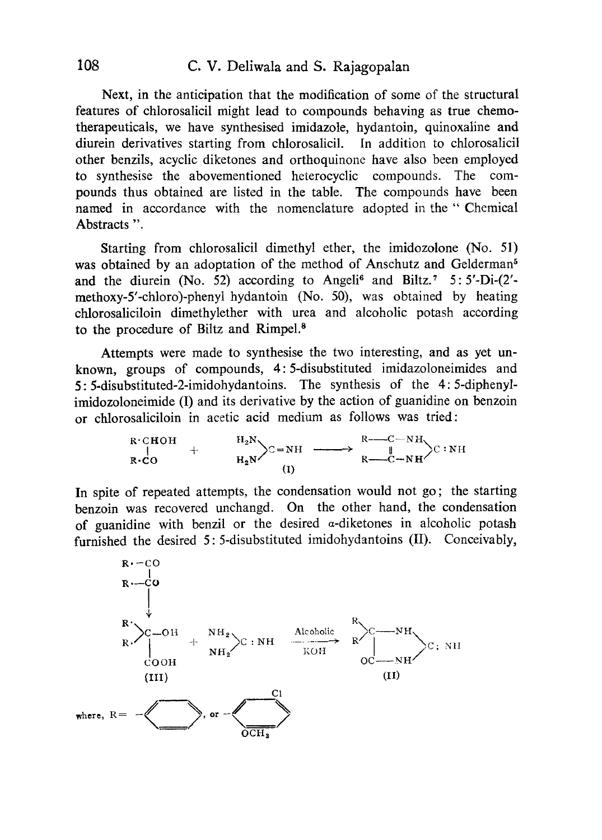Next, in the anticipation that the modification of some of the structural features of chlorosalicil might lead to compounds behaving as true chemotherapeuticals, we have synthesised imidazole, hydantoin, quinoxaline and diurein derivatives starting from chlorosalicil. In addition to chlorosalicil other benzils, acyclic diketones and orthoquinone have also been employed to synthesise the abovementioned heterocyclic compounds. The compounds thus obtained are listed in the table. The compounds have been named in accordance with the nomenclature adopted in the " Chemical Abstracts ".

Starting from chlorosalicil dimethyl ether, the imidozolone (No. 51) was obtained by an adoptation of the method of Anschutz and Gelderman<sup>5</sup> and the diurein (No. 52) according to Angeli<sup>6</sup> and Biltz.<sup>7</sup> 5: 5'-Di-(2'methoxy-5'-chloro)-phenyl hydantoin (No. 50), was obtained by heating chlorosaliciloin dimethylether with urea and alcoholic potash according to the procedure of Biltz and Rimpel.<sup>8</sup>

Attempts were made to synthesise the two interesting, and as yet unknown, groups of compounds, 4: 5-disubstituted imidazoloneimides and 5: 5-disubstituted-2-imidohydantoins. The synthesis of the 4: 5-diphenylimidozoloneimide (I) and its derivative by the action of guanidine on benzoin or chlorosaliciloin in acetic acid medium as follows was tried: ocedure of Biltz and Rimpel.<sup>8</sup><br>
mpts were made to synthesise the two interesting,<br>
groups of compounds, 4:5-disubstituted imidaze<br>
stituted-2-imidohydantoins. The synthesis of th<br>
neimide (I) and its derivative by the ac

lineimide (I) and its derivative by the action of guanidine on

\nsmallicilon in acetic acid medium as follows was tried:

\n
$$
R \cdot \text{CHOH}
$$

\n
$$
R \cdot \text{CHOH}
$$

\n
$$
R \cdot \text{CHOH}
$$

\n
$$
R \cdot \text{CHOH}
$$

\n
$$
R \cdot \text{CHOH}
$$

\n
$$
R \cdot \text{CHOH}
$$

\n
$$
R \cdot \text{CHOH}
$$

\n
$$
R \cdot \text{CHOH}
$$

\n
$$
R \cdot \text{CHOH}
$$

\n
$$
R \cdot \text{CHOH}
$$

\n
$$
R \cdot \text{CHOH}
$$

\n
$$
R \cdot \text{CHOH}
$$

\n
$$
R \cdot \text{CHOH}
$$

\n
$$
R \cdot \text{CHOH}
$$

\n
$$
R \cdot \text{CHOH}
$$

\n
$$
R \cdot \text{CHOH}
$$

\n
$$
R \cdot \text{CHOH}
$$

\n
$$
R \cdot \text{CHOH}
$$

\n
$$
R \cdot \text{CHOH}
$$

\n
$$
R \cdot \text{CHOH}
$$

\n
$$
R \cdot \text{CHOH}
$$

\n
$$
R \cdot \text{CHOH}
$$

\n
$$
R \cdot \text{CHOH}
$$

\n
$$
R \cdot \text{CHOH}
$$

\n
$$
R \cdot \text{CHOH}
$$

\n
$$
R \cdot \text{CHOH}
$$

\n
$$
R \cdot \text{CHOH}
$$

\n
$$
R \cdot \text{CHOH}
$$

\n
$$
R \cdot \text{CHOH}
$$

\n
$$
R \cdot \text{CHOH}
$$

\n
$$
R \cdot \text{CHOH}
$$

\n
$$
R \cdot \text{CHOH}
$$

\n
$$
R \cdot \text{CHOH}
$$

\n
$$
R \cdot \text{CHOH}
$$

\n
$$
R \cdot
$$

In spite of repeated attempts, the condensation would not go; the starting benzoin was recovered unchangd. On the other hand, the condensation of guanidine with benzil or the desired  $\alpha$ -diketones in alcoholic potash furnished the desired 5: 5-disubstituted imidohydantoins (II). Conceivably,

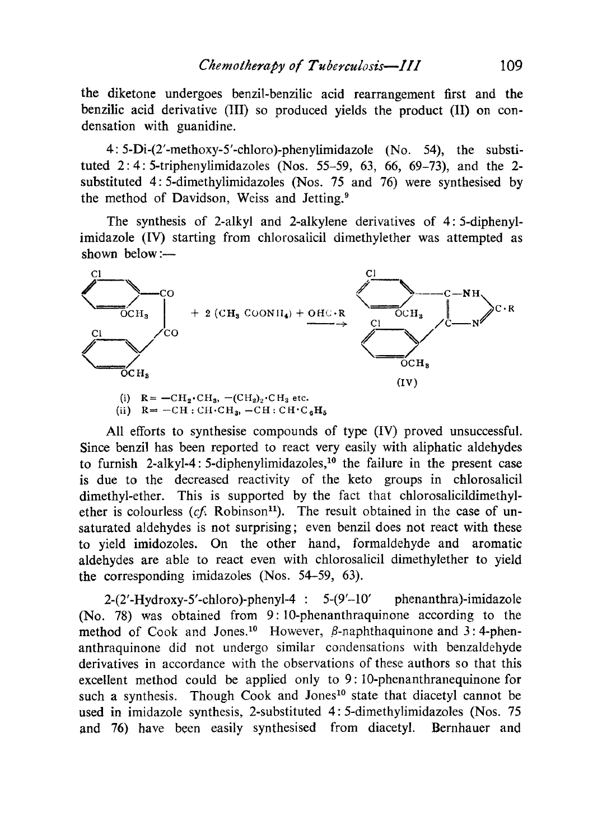the diketone undergoes benzil-benzilic acid rearrangement first and the benzilic acid derivative (1II) so produced yields the product (II) on condensation with guanidine.

4: 5-Di-(2'-methoxy-5'-chloro)-phenylimidazole (No. 54), the substituted 2: 4: 5-triphenylimidazoles (Nos. 55-59, 63, 66, 69-73), and the 2 substituted 4: 5-dimethylimidazoles (Nos. 75 and 76) were synthesised by the method of Davidson, Weiss and Jetting.'

The synthesis of 2-alkyl and 2-alkylene derivatives of 4: 5-diphenylimidazole (IV) starting from chlorosalicil dimethylether was attempted as shown below :-



(ii) 
$$
R = -CH : CH \cdot CH_3
$$
,  $-CH : CH \cdot C_6H_5$ 

All efforts to synthesise compounds of type (IV) proved unsuccessful. Since benzil has been reported to react very easily with aliphatic aldehydes to furnish 2-alkyl-4: 5-diphenylimidazoles,<sup>10</sup> the failure in the present case is due to the decreased reactivity of the keto groups in chlorosalicil dimethyl-ether. This is supported by the fact that chlorosalicildimethylether is colourless (cf. Robinson<sup>11</sup>). The result obtained in the case of unsaturated aldehydes is not surprising; even benzil does not react with these to yield imidozoles. On the other hand, formaldehyde and aromatic aldehydes are able to react even with chlorosalicil dimethylether to yield the corresponding imidazoles (Nos. 54-59, 63).

 $2-(2'-Hydroxy-5'-chloro)-phenyl-4$  :  $5-(9'-10'$  phenanthra)-imidazole (No. 78) was obtained from 9: 10-phenanthraquinone according to the method of Cook and Jones.<sup>10</sup> However,  $\beta$ -naphthaquinone and 3:4-phenanthraquinone did not undergo similar condensations with benzaldehyde derivatives in accordance with the observations of these authors so that this excellent method could be applied only to 9: 10-phenanthranequinone for such a synthesis. Though Cook and Jones<sup>10</sup> state that diacetyl cannot be used in imidazole synthesis, 2-substituted 4: 5-dimethylimidazoles (Nos. 75 and 76) have been easily synthesised from diacetyl. Bernhauer and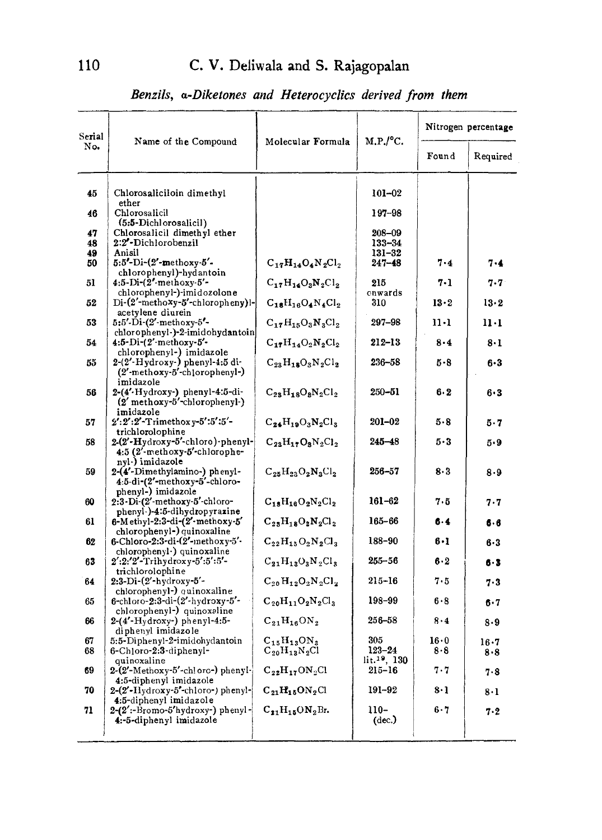*Benzils, a-Diketones and Heterocyclics derived from them*

| Serial<br>No. | Name of the Compound                                                                     | Molecular Formula                                                           | M.P./°C.                                      | Nitrogen percentage |                 |
|---------------|------------------------------------------------------------------------------------------|-----------------------------------------------------------------------------|-----------------------------------------------|---------------------|-----------------|
|               |                                                                                          |                                                                             |                                               | Found               | Required        |
| 45            | Chlorosaliciloin dimethyl                                                                |                                                                             | $101 - 02$                                    |                     |                 |
| 46            | ether<br>Chlorosalicil<br>(5:5-Dichlorosalicil)                                          |                                                                             | $197 - 98$                                    |                     |                 |
| 47<br>48      | Chlorosalicil dimethyl ether<br>2:2'-Dichlorobenzil                                      |                                                                             | $208 - 09$<br>$133 - 34$                      |                     |                 |
| 49<br>50      | Anisil<br>$5:5'-Di-(2'-\text{methoxy-}5'-$                                               | $C_{17}H_{14}O_4N_2Cl_2$                                                    | $131 - 32$<br>$247 - 48$                      | $7 - 4$             | 7.4             |
| 51            | chlorophenyl)-hydantoin<br>$4:5-Di-(2'-\text{methoxy-}5'-$<br>chlorophenyl-)-imidozolone | $C_{17}H_{14}O_3N_2Cl_2$                                                    | 215<br>cnwards                                | 7-1                 | $7.7^{\circ}$   |
| 52            | Di-(2'-methoxy-5'-chloropheny)l-<br>acetylene diurein                                    | $C_{18}H_{16}O_4N_4Cl_2$                                                    | 310                                           | 13.2                | 13.2            |
| 53            | 5:5'-Di-(2'-methoxy-5'-<br>chlorophenyl-)-2-imidohydantoin                               | $C_{17}H_{15}O_3N_3Cl_2$                                                    | 297-98                                        | $11 - 1$            | $11 \cdot 1$    |
| 54            | 4:5-Di-(2'-methoxy-5'-<br>chlorophenyl-) imidazole                                       | $C_{17}H_{14}O_2N_2Cl_2$                                                    | 212–13                                        | $8 - 4$             | 8.1             |
| 55            | $2-(2'-Hydroxy-)$ phenyl-4:5 di-<br>(2'-methoxy-5'-chlorophenyl-)<br>imidazole           | $\mathrm{C}_{23}\mathrm{H}_{18}\mathrm{O}_{3}\mathrm{N}_{2}\mathrm{Cl}_{2}$ | $236 - 58$                                    | 5.8                 | 6.3             |
| 56            | 2-(4'-Hydroxy-) phenyl-4:5-di-<br>$(2'$ methoxy- $5'$ -chlorophenyl-)<br>imidazole       | $C_{28}H_{18}O_8N_2Cl_2$                                                    | $250 - 51$                                    | 6.2                 | $6 - 3$         |
| 57            | $2':2':2'-T$ rimethoxy-5':5':5'-<br>trichlorolophine                                     | $C_{24}H_{19}O_3N_2Cl_3$                                                    | $201 - 02$                                    | 5.8                 | 5.7             |
| 58            | 2-(2'-Hydroxy-5'-chloro)-phenyl-<br>4:5 (2'-methoxy-5'-chlorophe-<br>nyl-) imidazole     | $C_{23}H_{17}O_3N_2Cl_2$                                                    | $245 - 48$                                    | $5-3$               | 5.9             |
| 59            | 2-(4'-Dimethylamino-) phenyl-<br>4.5-di-(2'-methoxy-5'-chloro-<br>phenyl-) imidazole     | $C_{25}H_{23}O_2N_3Cl_2$                                                    | $256 - 57$                                    | 8.3                 | 8.9             |
| 60            | 2.3-Di-(2'-methoxy-5'-chloro-<br>phenyl-)-4:5-dihydropyrazine                            | $C_{18}H_{16}O_2N_2Cl_2$                                                    | $161 - 62$                                    | 7.5                 | 7.7             |
| 61            | $6-M$ ethyl-2:3-di- $(2'-$ methoxy-5'<br>chlorophenyl-) quinoxaline                      | $C_{23}H_{18}O_2N_2Cl_2$                                                    | 165-66                                        | $6 - 4$             | 6.6             |
| 62            | 6-Chloro-2:3-di-(2'-methoxy-5'-<br>chlorophenyl.) quinoxaline                            | $C_{22}H_{15}O_2N_2Cl_3$                                                    | 188-90                                        | 6.1                 | 6.3             |
| 63            | 2':2:'2'-Trihydroxy-5':5':5'-<br>trichlorolophine                                        | $C_{21}H_{13}O_3N_2Cl_3$                                                    | $255 - 56$                                    | 6.2                 | 6.3             |
| 64            | $2:3-Di-(2'-hydroxy-5'-$<br>chlorophenyl-) quinoxaline                                   | $C_{20}H_{12}O_2N_2Cl_2$                                                    | $215 - 16$                                    | 7.5                 | 7.3             |
| 65            | 6-chloro-2:3-di-(2'-hydroxy-5'-<br>chlorophenyl-) quinoxaline                            | $C_{20}H_{11}O_2N_2Cl_3$                                                    | 198–99                                        | 6.8                 | $6 - 7$         |
| 66            | $2-(4'-Hydroxy-)$ phenyl-4:5-<br>diphenyl imidazole                                      | $C_{21}H_{16}ON_2$                                                          | 256-58                                        | 8.4                 | 8.9             |
| 67<br>68      | 5:5-Diphenyl-2-imidohydantoin<br>6-Chloro-2:3-diphenyl-<br>quinoxaline                   | $\rm C_{15}H_{13}ON_3\\ C_{20}H_{13}N_2C_l$                                 | 305<br>$123 - 24$<br>lit. <sup>19</sup> , 130 | 16.0<br>8.8         | $16 - 7$<br>8.8 |
| 69            | 2-(2'-Methoxy-5'-chloro-) phenyl-<br>4:5-diphenyl imidazole                              | $C_{22}H_{17}ON_2Cl$                                                        | $215 - 16$                                    | 7.7                 | 7.8             |
| 70            | 2-(2'-Hydroxy-5'-chloro-) phenyl-<br>4:5-diphenyl imidazole                              | $C_{21}H_{15}ON_2Cl$                                                        | 191-92                                        | 8.1                 | 8·1             |
| 71            | $2-(2'-\text{Bromo-5}^{\prime}\text{hydroxy-})$ phenyl-<br>4:-5-diphenyl imidazole       | $C_{21}H_{15}ON_2Br.$                                                       | $110-$<br>(dec.)                              | 6.7                 | 7.2             |
|               |                                                                                          |                                                                             |                                               |                     |                 |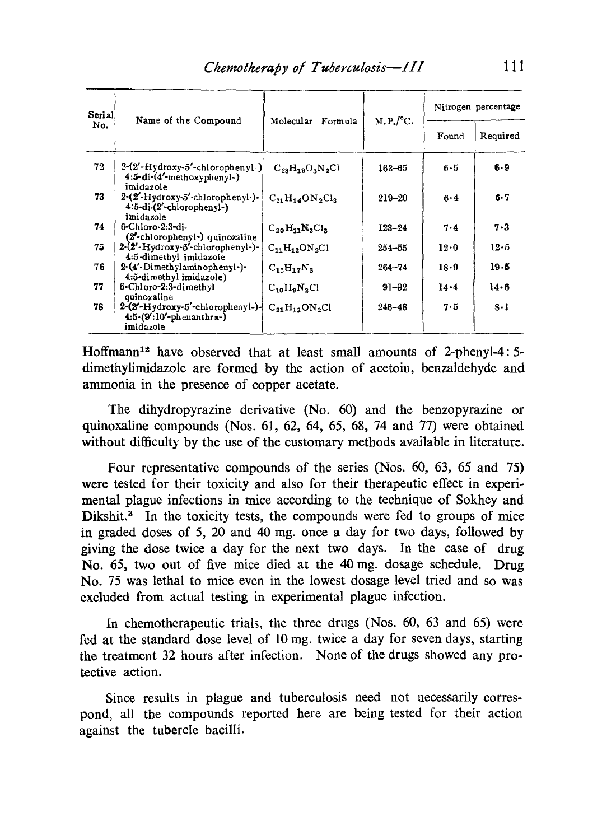| Serial<br>No. | Name of the Compound                                                              | Molecular<br>Formula                                    | $M.P.^/C.$ | Nitrogen percentage |          |
|---------------|-----------------------------------------------------------------------------------|---------------------------------------------------------|------------|---------------------|----------|
|               |                                                                                   |                                                         |            | Found               | Required |
| 72            | $2-(2'-Hydroxy-5'-chloropheny)$<br>4:5-di-(4'-methoxyphenyl-)<br>imidazole        | $C_{23}H_{19}O_3N_2Cl$                                  | 163-65     | 6.5                 | 6.9      |
| 73            | 2-(2'-Hydroxy-5'-chlorophenyl-)-<br>$4:5-di-(2'-chlorophenyl-)$<br>imidazole      | $C_{21}H_1$ $\triangle$ ON <sub>2</sub> C <sub>l3</sub> | $219 - 20$ | 6.4                 | 6.7      |
| 74            | 6-Chloro-2:3-di-<br>(2'-chlorophenyl-) quinozaline                                | $C_{20}H_{11}N_2Cl_2$                                   | $123 - 24$ | 7.4                 | $7 - 3$  |
| 75            | $2-(2'-Hydroxy-5'-chlorophenyl-)$<br>4:5 dimethyl imidazole                       | $C_{11}H_{12}ON_2Cl$                                    | $254 - 55$ | 12.0                | 12.5     |
| 76            | 2-(4'-Dimethylaminophenyl-)-<br>4:5-dimethyl imidazole)                           | $C_1$ <sub>2</sub> $H_1$ <sub>7</sub> $N_2$             | $264 - 74$ | 18.9                | $19 - 5$ |
| 77            | 6-Chloro-2:3-dimethyl<br>quinoxaline                                              | $C_{10}H_9N_2Cl$                                        | $91 - 92$  | 14.4                | 14.6     |
| 78            | $2-(2'-Hydroxy-5'-chloropheny]-)-$<br>$4:5-(9':10'-ph$ enanthra- $)$<br>imidazole | $C_{21}H_{13}ON_2Cl$                                    | $246 - 48$ | 7.5                 | $8 - 1$  |

Hoffmann12 have observed that at least small amounts of 2-phenyl-4: 5 dimethylimidazole are formed by the action of acetoin, benzaldehyde and ammonia in the presence of copper acetate.

The dihydropyrazine derivative (No. 60) and the benzopyrazine or quinoxaline compounds (Nos. 61, 62, 64, 65, 68, 74 and 77) were obtained without difficulty by the use of the customary methods available in literature.

Four representative compounds of the series (Nos. 60, 63, 65 and 75) were tested for their toxicity and also for their therapeutic effect in experimental plague infections in mice according to the technique of Sokhey and Dikshit.<sup>3</sup> In the toxicity tests, the compounds were fed to groups of mice in graded doses of 5, 20 and 40 mg. once a day for two days, followed by giving the dose twice a day for the next two days. In the case of drug No. 65, two out of five mice died at the 40 mg. dosage schedule. Drug No. 75 was lethal to mice even in the lowest dosage level tried and so was excluded from actual testing in experimental plague infection.

In chemotherapeutic trials, the three drugs (Nos. 60, 63 and 65) were fed at the standard dose level of 10 mg. twice a day for seven days, starting the treatment 32 hours after infection. None of the drugs showed any protective action.

Since results in plague and tuberculosis need not necessarily correspond, all the compounds reported here are being tested for their action against the tubercle bacilli.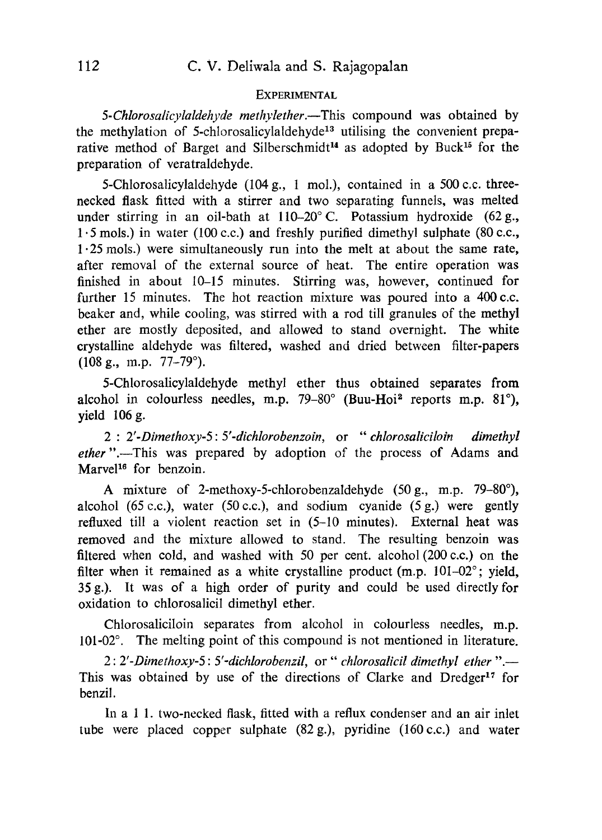#### **EXPERIMENTAL**

*5-Chlorosalicylaldehyde methylether.—This* compound was obtained by the methylation of 5-chlorosalicylaldehyde<sup>13</sup> utilising the convenient preparative method of Barget and Silberschmidt<sup>14</sup> as adopted by Buck<sup>15</sup> for the preparation of veratraldehyde.

*5-*Chlorosalicylaldehyde (104 g., 1 mol.), contained in a *500 c.c.* threenecked flask fitted with a stirrer and two separating funnels, was melted under stirring in an oil-bath at 110-20° C. Potassium hydroxide *(62* g., *1.5* mols.) in water (100 c.c.) and freshly purified dimethyl sulphate (80 c.c., *1.25* mols.) were simultaneously run into the melt at about the same rate, after removal of the external source of heat. The entire operation was finished in about 10-15 minutes. Stirring was, however, continued for further 15 minutes. The hot reaction mixture was poured into a 400 c.c. beaker and, while cooling, was stirred with a rod till granules of the methyl ether are mostly deposited, and allowed to stand overnight. The white crystalline aldehyde was filtered, washed and dried between filter-papers  $(108 \text{ g.}, \text{ m.p. } 77-79^{\circ}).$ 

5-Chlorosalicylaldehyde methyl ether thus obtained separates from alcohol in colourless needles, m.p.  $79-80^{\circ}$  (Buu-Hoi<sup>2</sup> reports m.p. 81°), yield *106* g.

*2 : 2'-Dimethoxy-5: 5'-dichlorobenzoin, or " chlorosaliciloin dimethyl ether ".*—This was prepared by adoption of the process of Adams and Marvel<sup>16</sup> for benzoin.

A mixture of *2-*methoxy*-5-*chlorobenzaldehyde *(50 g.,* m.p. 79-80°), alcohol *(65* c.c.), water *(50* c.c.), and sodium cyanide *(5 g.)* were gently refluxed till a violent reaction set in *(5-10* minutes). External heat was removed and the mixture allowed to stand. The resulting benzoin was filtered when cold, and washed with *50* per cent. alcohol *(200* c.c.) on the filter when it remained as a white crystalline product (m.p. 101-02°; yield, 35 g.). It was of a high order of purity and could be used directly for oxidation to chlorosalicil dimethyl ether.

Chlorosaliciloin separates from alcohol in colourless needles, m.p. 101-02°. The melting point of this compound is not mentioned in literature.

*2: 2'-Dimethoxy-5 : 5'-dichlorobenzil,* or " *chlorosalicil dimethyl ether ".-* This was obtained by use of the directions of Clarke and Dredger<sup>17</sup> for benzil.

In a 1 1. two-necked flask, fitted with a reflux condenser and an air inlet tube were placed copper sulphate (82 g.), pyridine *(160* c.c.) and water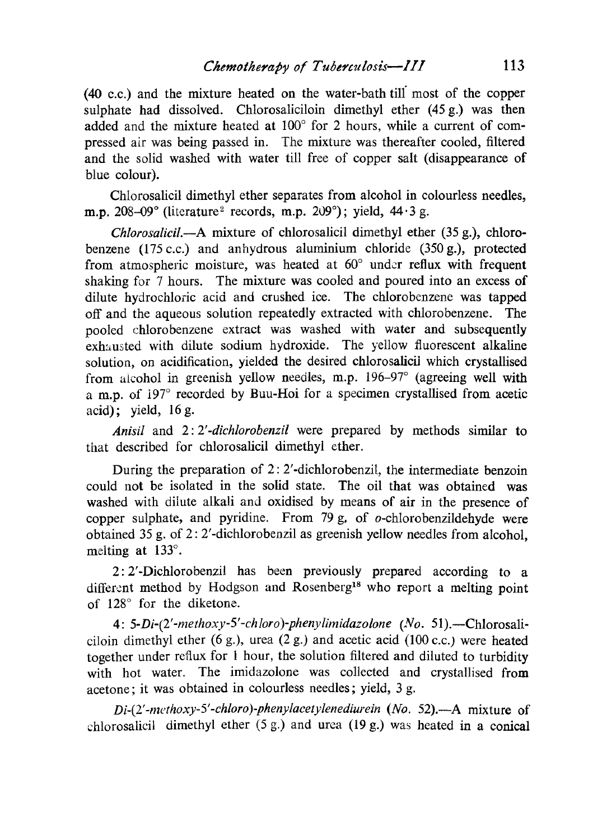(40 c.c.) and the mixture heated on the water-bath till most of the copper sulphate had dissolved. Chlorosaliciloin dimethyl ether (45 g.) was then added and the mixture heated at  $100^{\circ}$  for 2 hours, while a current of compressed air was being passed in. The mixture was thereafter cooled, filtered and the solid washed with water till free of copper salt (disappearance of blue colour).

Chlorosalicil dimethyl ether separates from alcohol in colourless needles, m.p.  $208-09^\circ$  (literature<sup>2</sup> records, m.p.  $209^\circ$ ); yield,  $44.3$  g.

*Chlorosalicil.—A* mixture of chlorosalicil dimethyl ether (35 g.), chlorobenzene (175 c.c.) and anhydrous aluminium chloride (350 g.), protected from atmospheric moisture, was heated at 60° under reflux with frequent shaking for 7 hours. The mixture was cooled and poured into an excess of dilute hydrochloric acid and crushed ice. The chlorobenzene was tapped off and the aqueous solution repeatedly extracted with chlorobenzene. The pooled chlorobenzene extract was washed with water and subsequently exhausted with dilute sodium hydroxide. The yellow fluorescent alkaline solution, on acidification, yielded the desired chlorosalicil which crystallised from alcohol in greenish yellow needles, m.p. 196-97° (agreeing well with a m.p. of 197° recorded by Buu-Hoi for a specimen crystallised from acetic acid) ; yield, 16 g.

*Anisil* and *2: 2'-dichlorobenzil* were prepared by methods similar to that described for chiorosalicil dimethyl ether.

During the preparation of 2: 2'-dichlorobenzil, the intermediate benzoin could not be isolated in the solid state. The oil that was obtained was washed with dilute alkali and oxidised by means of air in the presence of copper sulphate, and pyridine. From 79 g, of  $o$ -chlorobenzildehyde were obtained 35 g. of 2: 2'-dichlorobenzil as greenish yellow needles from alcohol, melting at 133°.

2: 2'-Dichlorobenzil has been previously prepared according to a different method by Hodgson and Rosenberg<sup>18</sup> who report a melting point of 128° for the diketone.

*4: 5-Di-(2'-methoxy-5'-chloro)-phenylimidazolone (No.* 51).—Chlorosaliciloin dimethyl ether (6 g.), urea (2 g.) and acetic acid (100 c.c.) were heated together under reflux for 1 hour, the solution filtered and diluted to turbidity with hot water. The imidazolone was collected and crystallised from acetone; it was obtained in colourless needles; yield, 3 g.

*Di-(2'-mcthoxy-5'-chloro) phenylacetylenediurein (No.* 52).*—A* mixture of chlorosalicil dimethyl ether (5 g.) and urea (19 g.) was heated in a conical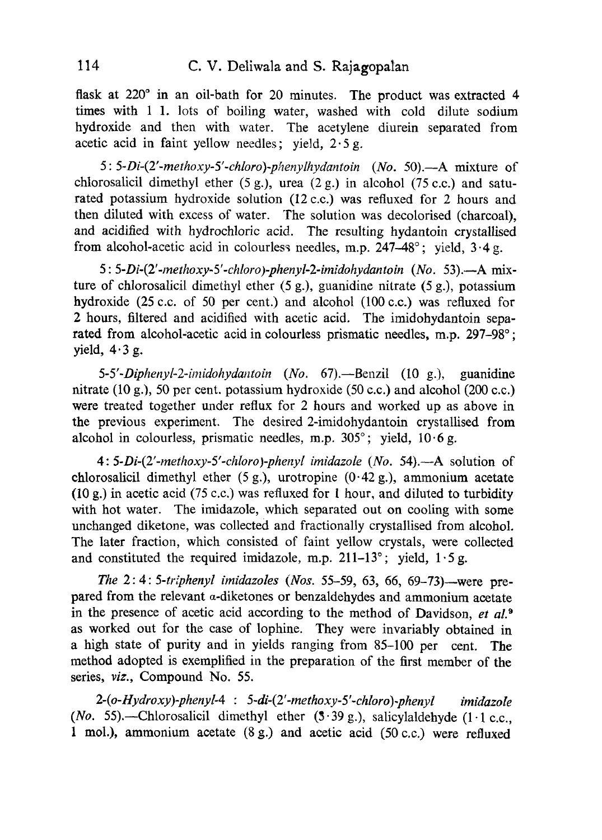flask at *220°* in an oil-bath for *20* minutes. The product was extracted 4 times with 1 1. lots of boiling water, washed with cold dilute sodium hydroxide and then with water. The acetylene diurein separated from acetic acid in faint yellow needles; yield, *2.5* g.

*5: 5-Di-(2'-methoxy-5'-chloro)-phenylhydantoin (No. 50).—A* mixture of chlorosalicil dimethyl ether *(5* g.), urea (2 g.) in alcohol *(75* c.c.) and saturated potassium hydroxide solution *(12* c.c.) was refluxed for *2* hours and then diluted with excess of water. The solution was decolorised (charcoal), and acidified with hydrochloric acid. The resulting hydantoin crystallised from alcohol-acetic acid in colourless needles, m.p. *247-48°;* yield, 3.4 g.

*5: 5-Di-(2'-methoxy-5'-chloro) phenyl-2-imidohydantoin (No. 53).—A* mixture of chiorosalicil dimethyl ether *(5* g.), guanidine nitrate *(5 g.),* potassium hydroxide *(25 c.c. of 50* per cent.) and alcohol (100 c.c.) was refluxed for *2* hours, filtered and acidified with acetic acid. The imidohydantoin separated from alcohol-acetic acid in colourless prismatic needles, m.p. *297-98°;* yield,  $4.3 g$ .

*5-5'-Diphenyl-2-imidohydaiitoin (No. 67).—*Benzil (10 g.), guanidine nitrate (10 g.), *50* per cent. potassium hydroxide *(50* c.c.) and alcohol *(200 c.c.)* were treated together under reflux for *2* hours and worked up as above in the previous experiment. The desired 2-imidohydantoin crystallised from alcohol in colourless, prismatic needles, m.p. *305°;* yield, *10.6 g.*

*4: 5-Di-(2'-methoxy-5'-chloro) phenyl imidazole (No.* 54).—A solution of chlorosalicil dimethyl ether *(5* g.), urotropine *(0.42* g.), ammonium acetate (10 g.) in acetic acid *(75 c.c.)* was refluxed for 1 hour, and diluted to turbidity with hot water. The imidazole, which separated out on cooling with some unchanged diketone, was collected and fractionally crystallised from alcohol. The later fraction, which consisted of faint yellow crystals, were collected and constituted the required imidazole, m.p. *211-13°;* yield, *1.5* g.

*The 2: 4: 5-triphenyl imidazoles (Nos. 55-59, 63, 66, 69* -73)—were prepared from the relevant a-diketones or benzaldehydes and ammonium acetate in the presence of acetic acid according to the method of Davidson, *et al.*<sup>9</sup> as worked out for the case of lophine. They were invariably obtained in a high state of purity and in yields ranging from *85-100* per cent. The method adopted is exemplified in the preparation of the first member of the series, viz., Compound No. *55.*

*2-(o-Hydroxy)-phenyl-4 : 5-di-(2'-methoxy-5'-chloro) phenyl imidazole (No.* 55).—Chlorosalicil dimethyl ether *(3•39* g.), salicylaldehyde (1.1 c.c., 1 mol.), ammonium acetate *(8 g.)* and acetic acid (50 c.c.) were refluxed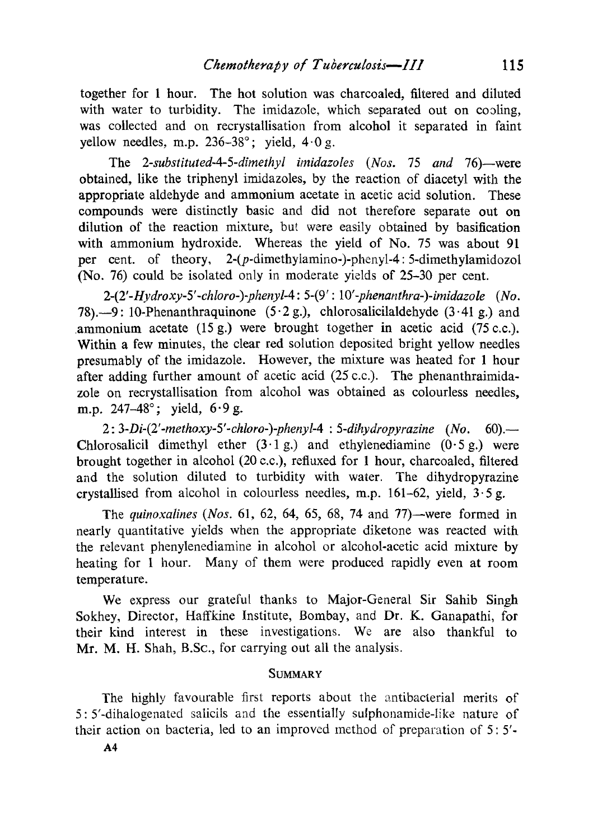together for 1 hour. The hot solution was charcoaled, filtered and diluted with water to turbidity. The imidazole, which separated out on cooling, was collected and on recrystallisation from alcohol it separated in faint yellow needles, m.p. *236-38°;* yield, *40g.*

The *2-substituted-4-5-dimethyl imidazoles (Nos. 75 and 76)*—were obtained, like the triphenyl imidazoles, by the reaction of diacetyl with the appropriate aldehyde and ammonium acetate in acetic acid solution. These compounds were distinctly basic and did not therefore separate out on dilution of the reaction mixture, but were easily obtained by basification with ammonium hydroxide. Whereas the yield of No. *75* was about 91 per cent. of theory, *2-(p-*dimethylamino-)phenyl-4: *5-*dimethylamidozol (No. *76)* could be isolated only in moderate yields of *25-30* per cent.

*2-(2'-Hydroxy-5'-chloro-)phenyl-4: 5-(9': 10'-phenanthra-)-imidazole (No.* 78).-9: 10-Phenanthraquinone *(5.2* g.), chlorosalicilaldehyde *(3.41 g.)* and ammonium acetate *(15* g.) were brought together **in** acetic acid *(75 c.c.).* Within a few minutes, the clear red solution deposited bright yellow needles presumably of the imidazole. However, the mixture was heated for 1 hour after adding further amount of acetic acid *(25* c.c.). The phenanthraimidazole on recrystallisation from alcohol was obtained as colourless needles, m.p. *247-48°;* yield, *6.9 g.*

*2: 3-Di-(2'-methoxy-5'-chloro-)-phenyl-4 : 5-dihydropyrazine (No. 60).-* Chlorosalicil dimethyl ether *(3.1 g.)* and ethylenediamine *(0.5 g.)* were brought together in alcohol *(20* c.c.), refluxed for 1 hour, charcoaled, filtered and the solution diluted to turbidity with water. The dihydropyrazine crystallised from alcohol in colourless needles, m.p. *161-62,* yield, *3.5* g.

The *quinoxalines (Nos. 61, 62,* 64, *65, 68,* 74 and *77)*—were formed in nearly quantitative yields when the appropriate diketone was reacted with the relevant phenylenediamine in alcohol or alcohol-acetic acid mixture by heating for 1 hour. Many of them were produced rapidly even at room temperature.

We express our grateful thanks to Major-General Sir Sahib Singh Sokhey, Director, Haffkine Institute, Bombay, and **Dr.** K. Ganapathi, for their kind interest in these investigations. We are also thankful to Mr. M. H. Shah, B.Sc., for carrying out all the analysis.

## **SUMMARY**

The highly favourable first reports about the antibacterial merits of 5: *5'-*dihalogenated salicils and the essentially sulphonamide-like nature of their action on bacteria, led to an improved method of preparation of *5: 5'-*